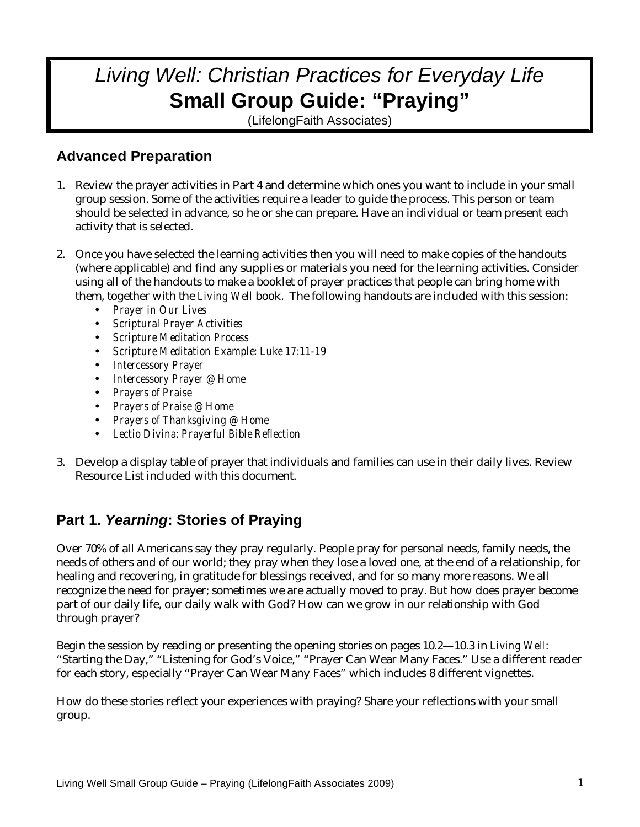# *Living Well: Christian Practices for Everyday Life*  **Small Group Guide: "Praying"**

(LifelongFaith Associates)

## **Advanced Preparation**

- 1. Review the prayer activities in Part 4 and determine which ones you want to include in your small group session. Some of the activities require a leader to guide the process. This person or team should be selected in advance, so he or she can prepare. Have an individual or team present each activity that is selected.
- 2. Once you have selected the learning activities then you will need to make copies of the handouts (where applicable) and find any supplies or materials you need for the learning activities. Consider using all of the handouts to make a booklet of prayer practices that people can bring home with them, together with the *Living Well* book. The following handouts are included with this session:
	- *Prayer in Our Lives*
	- *Scriptural Prayer Activities*
	- *Scripture Meditation Process*
	- *Scripture Meditation Example: Luke 17:11-19*
	- *Intercessory Prayer*
	- *Intercessory Prayer @ Home*
	- *Prayers of Praise*
	- *Prayers of Praise @ Home*
	- *Prayers of Thanksgiving @ Home*
	- *Lectio Divina: Prayerful Bible Reflection*
- 3. Develop a display table of prayer that individuals and families can use in their daily lives. Review Resource List included with this document.

## **Part 1.** *Yearning***: Stories of Praying**

Over 70% of all Americans say they pray regularly. People pray for personal needs, family needs, the needs of others and of our world; they pray when they lose a loved one, at the end of a relationship, for healing and recovering, in gratitude for blessings received, and for so many more reasons. We all recognize the need for prayer; sometimes we are actually moved to pray. But how does prayer become part of our daily life, our daily walk with God? How can we grow in our relationship with God through prayer?

Begin the session by reading or presenting the opening stories on pages 10.2—10.3 in *Living Well*: "Starting the Day," "Listening for God's Voice," "Prayer Can Wear Many Faces." Use a different reader for each story, especially "Prayer Can Wear Many Faces" which includes 8 different vignettes.

How do these stories reflect your experiences with praying? Share your reflections with your small group.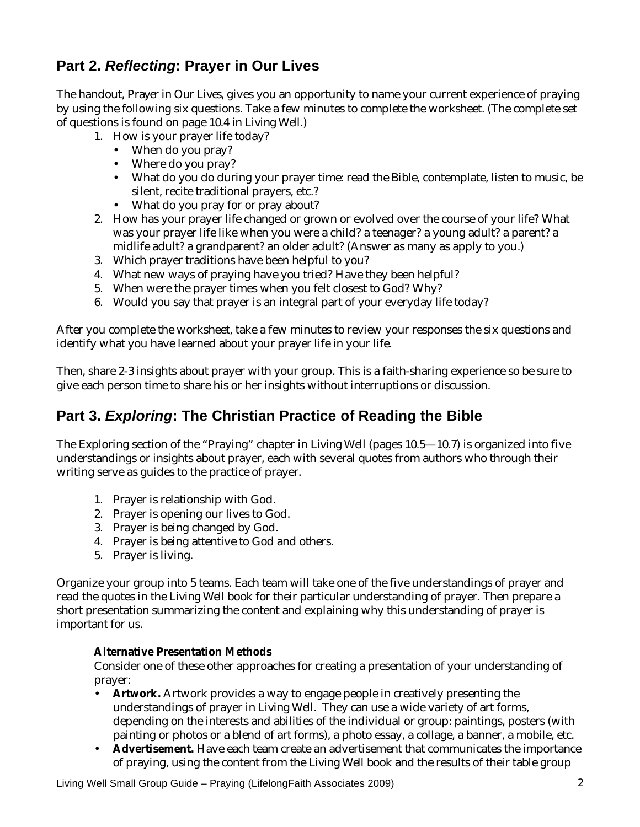## **Part 2.** *Reflecting***: Prayer in Our Lives**

The handout, *Prayer in Our Lives*, gives you an opportunity to name your current experience of praying by using the following six questions. Take a few minutes to complete the worksheet. (The complete set of questions is found on page 10.4 in *Living Well*.)

- 1. How is your prayer life today?
	- When do you pray?
	- Where do you pray?
	- What do you do during your prayer time: read the Bible, contemplate, listen to music, be silent, recite traditional prayers, etc.?
	- What do you pray for or pray about?
- 2. How has your prayer life changed or grown or evolved over the course of your life? What was your prayer life like when you were a child? a teenager? a young adult? a parent? a midlife adult? a grandparent? an older adult? (Answer as many as apply to you.)
- 3. Which prayer traditions have been helpful to you?
- 4. What new ways of praying have you tried? Have they been helpful?
- 5. When were the prayer times when you felt closest to God? Why?
- 6. Would you say that prayer is an integral part of your everyday life today?

After you complete the worksheet, take a few minutes to review your responses the six questions and identify what you have learned about your prayer life in your life.

Then, share 2-3 insights about prayer with your group. This is a faith-sharing experience so be sure to give each person time to share his or her insights without interruptions or discussion.

## **Part 3.** *Exploring***: The Christian Practice of Reading the Bible**

The Exploring section of the "Praying" chapter in *Living Well* (pages 10.5—10.7) is organized into five understandings or insights about prayer, each with several quotes from authors who through their writing serve as guides to the practice of prayer.

- 1. Prayer is relationship with God.
- 2. Prayer is opening our lives to God.
- 3. Prayer is being changed by God.
- 4. Prayer is being attentive to God and others.
- 5. Prayer is living.

Organize your group into 5 teams. Each team will take one of the five understandings of prayer and read the quotes in the *Living Well* book for their particular understanding of prayer. Then prepare a short presentation summarizing the content and explaining why this understanding of prayer is important for us.

#### **Alternative Presentation Methods**

Consider one of these other approaches for creating a presentation of your understanding of prayer:

- **Artwork.** Artwork provides a way to engage people in creatively presenting the understandings of prayer in *Living Well*. They can use a wide variety of art forms, depending on the interests and abilities of the individual or group: paintings, posters (with painting or photos or a blend of art forms), a photo essay, a collage, a banner, a mobile, etc.
- **Advertisement.** Have each team create an advertisement that communicates the importance of praying, using the content from the *Living Well* book and the results of their table group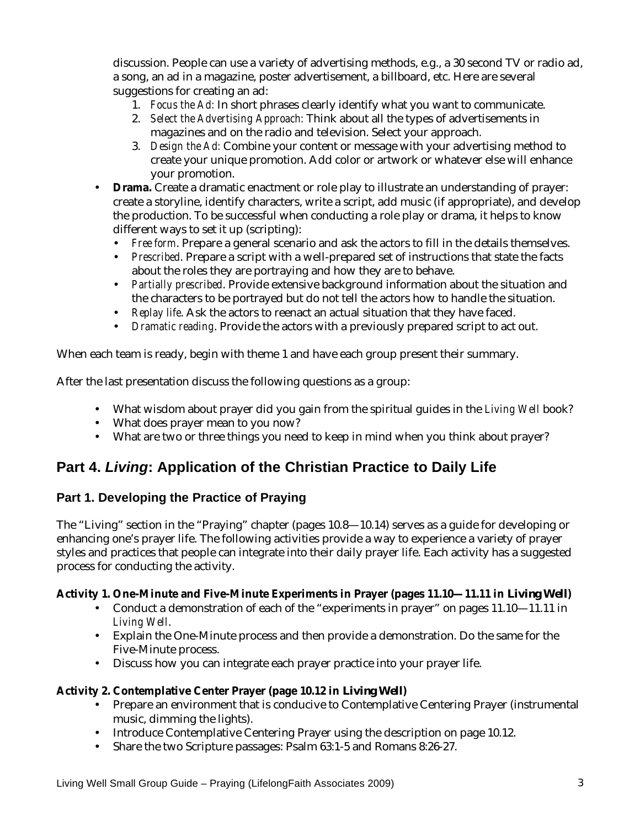discussion. People can use a variety of advertising methods, e.g., a 30 second TV or radio ad, a song, an ad in a magazine, poster advertisement, a billboard, etc. Here are several suggestions for creating an ad:

- 1. *Focus the Ad:* In short phrases clearly identify what you want to communicate.
- 2. *Select the Advertising Approach:* Think about all the types of advertisements in magazines and on the radio and television. Select your approach.
- 3. *Design the Ad:* Combine your content or message with your advertising method to create your unique promotion. Add color or artwork or whatever else will enhance your promotion.
- **Drama.** Create a dramatic enactment or role play to illustrate an understanding of prayer: create a storyline, identify characters, write a script, add music (if appropriate), and develop the production. To be successful when conducting a role play or drama, it helps to know different ways to set it up (scripting):
	- *Free form*. Prepare a general scenario and ask the actors to fill in the details themselves.
	- *Prescribed*. Prepare a script with a well-prepared set of instructions that state the facts about the roles they are portraying and how they are to behave.
	- *Partially prescribed*. Provide extensive background information about the situation and the characters to be portrayed but do not tell the actors how to handle the situation.
	- *Replay life*. Ask the actors to reenact an actual situation that they have faced.
	- *Dramatic reading*. Provide the actors with a previously prepared script to act out.

When each team is ready, begin with theme 1 and have each group present their summary.

After the last presentation discuss the following questions as a group:

- What wisdom about prayer did you gain from the spiritual guides in the *Living Well* book?
- What does prayer mean to you now?
- What are two or three things you need to keep in mind when you think about prayer?

## **Part 4.** *Living***: Application of the Christian Practice to Daily Life**

#### **Part 1. Developing the Practice of Praying**

The "Living" section in the "Praying" chapter (pages 10.8—10.14) serves as a guide for developing or enhancing one's prayer life. The following activities provide a way to experience a variety of prayer styles and practices that people can integrate into their daily prayer life. Each activity has a suggested process for conducting the activity.

#### **Activity 1. One-Minute and Five-Minute Experiments in Prayer (pages 11.10—11.11 in** *Living Well***)**

- Conduct a demonstration of each of the "experiments in prayer" on pages 11.10—11.11 in *Living Well*.
- Explain the One-Minute process and then provide a demonstration. Do the same for the Five-Minute process.
- Discuss how you can integrate each prayer practice into your prayer life.

#### **Activity 2. Contemplative Center Prayer (page 10.12 in** *Living Well***)**

- Prepare an environment that is conducive to Contemplative Centering Prayer (instrumental music, dimming the lights).
- Introduce Contemplative Centering Prayer using the description on page 10.12.
- Share the two Scripture passages: Psalm 63:1-5 and Romans 8:26-27.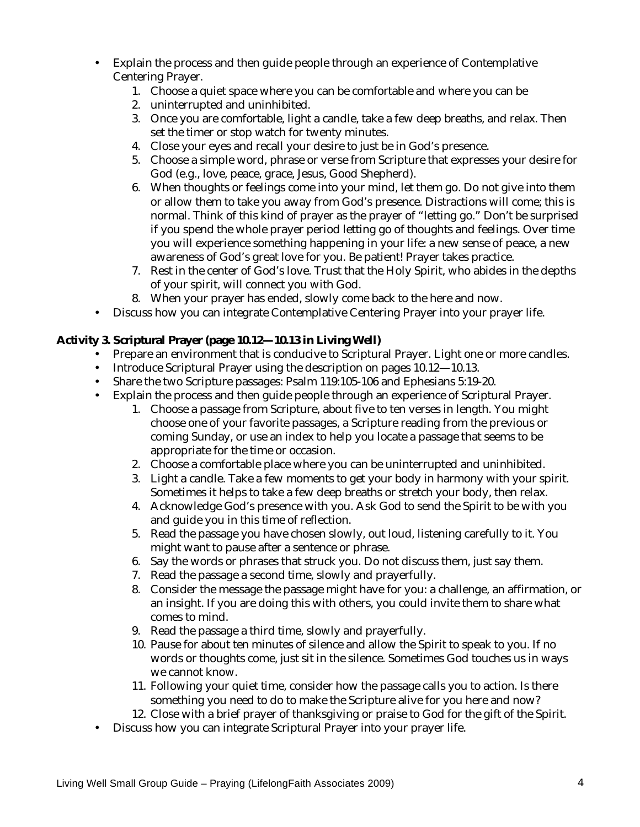- Explain the process and then guide people through an experience of Contemplative Centering Prayer.
	- 1. Choose a quiet space where you can be comfortable and where you can be
	- 2. uninterrupted and uninhibited.
	- 3. Once you are comfortable, light a candle, take a few deep breaths, and relax. Then set the timer or stop watch for twenty minutes.
	- 4. Close your eyes and recall your desire to just be in God's presence.
	- 5. Choose a simple word, phrase or verse from Scripture that expresses your desire for God (e.g., love, peace, grace, Jesus, Good Shepherd).
	- 6. When thoughts or feelings come into your mind, let them go. Do not give into them or allow them to take you away from God's presence. Distractions will come; this is normal. Think of this kind of prayer as the prayer of "letting go." Don't be surprised if you spend the whole prayer period letting go of thoughts and feelings. Over time you will experience something happening in your life: a new sense of peace, a new awareness of God's great love for you. Be patient! Prayer takes practice.
	- 7. Rest in the center of God's love. Trust that the Holy Spirit, who abides in the depths of your spirit, will connect you with God.
	- 8. When your prayer has ended, slowly come back to the here and now.
- Discuss how you can integrate Contemplative Centering Prayer into your prayer life.

#### **Activity 3. Scriptural Prayer (page 10.12—10.13 in** *Living Well***)**

- Prepare an environment that is conducive to Scriptural Prayer. Light one or more candles.
- Introduce Scriptural Prayer using the description on pages 10.12—10.13.
- Share the two Scripture passages: Psalm 119:105-106 and Ephesians 5:19-20.
- Explain the process and then guide people through an experience of Scriptural Prayer.
	- 1. Choose a passage from Scripture, about five to ten verses in length. You might choose one of your favorite passages, a Scripture reading from the previous or coming Sunday, or use an index to help you locate a passage that seems to be appropriate for the time or occasion.
	- 2. Choose a comfortable place where you can be uninterrupted and uninhibited.
	- 3. Light a candle. Take a few moments to get your body in harmony with your spirit. Sometimes it helps to take a few deep breaths or stretch your body, then relax.
	- 4. Acknowledge God's presence with you. Ask God to send the Spirit to be with you and guide you in this time of reflection.
	- 5. Read the passage you have chosen slowly, out loud, listening carefully to it. You might want to pause after a sentence or phrase.
	- 6. Say the words or phrases that struck you. Do not discuss them, just say them.
	- 7. Read the passage a second time, slowly and prayerfully.
	- 8. Consider the message the passage might have for you: a challenge, an affirmation, or an insight. If you are doing this with others, you could invite them to share what comes to mind.
	- 9. Read the passage a third time, slowly and prayerfully.
	- 10. Pause for about ten minutes of silence and allow the Spirit to speak to you. If no words or thoughts come, just sit in the silence. Sometimes God touches us in ways we cannot know.
	- 11. Following your quiet time, consider how the passage calls you to action. Is there something you need to do to make the Scripture alive for you here and now?
	- 12. Close with a brief prayer of thanksgiving or praise to God for the gift of the Spirit.
- Discuss how you can integrate Scriptural Prayer into your prayer life.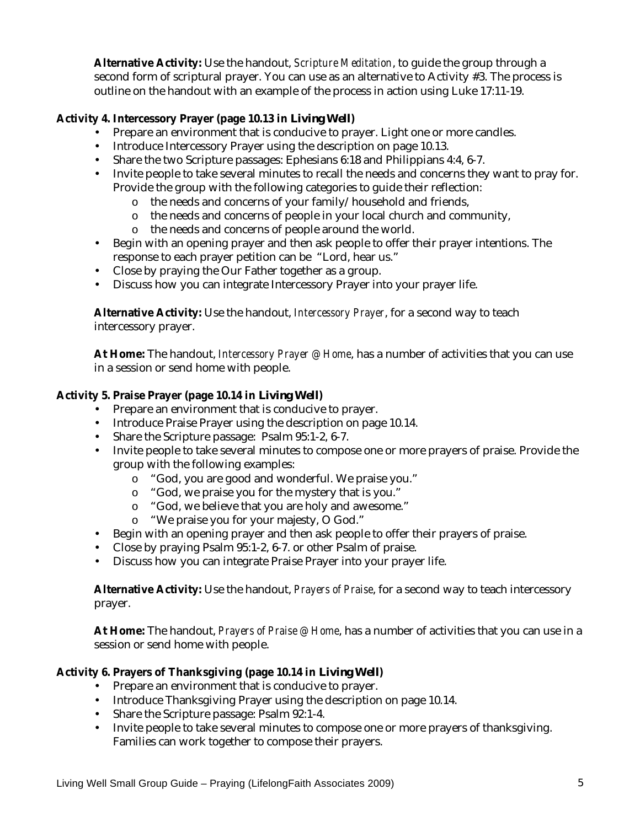**Alternative Activity:** Use the handout, *Scripture Meditation*, to guide the group through a second form of scriptural prayer. You can use as an alternative to Activity #3. The process is outline on the handout with an example of the process in action using Luke 17:11-19.

#### **Activity 4. Intercessory Prayer (page 10.13 in** *Living Well***)**

- Prepare an environment that is conducive to prayer. Light one or more candles.
- Introduce Intercessory Prayer using the description on page 10.13.
- Share the two Scripture passages: Ephesians 6:18 and Philippians 4:4, 6-7.
- Invite people to take several minutes to recall the needs and concerns they want to pray for. Provide the group with the following categories to guide their reflection:
	- o the needs and concerns of your family/household and friends,
	- o the needs and concerns of people in your local church and community,
	- o the needs and concerns of people around the world.
- Begin with an opening prayer and then ask people to offer their prayer intentions. The response to each prayer petition can be "Lord, hear us."
- Close by praying the Our Father together as a group.
- Discuss how you can integrate Intercessory Prayer into your prayer life.

**Alternative Activity:** Use the handout, *Intercessory Prayer*, for a second way to teach intercessory prayer.

**At Home:** The handout, *Intercessory Prayer @ Home*, has a number of activities that you can use in a session or send home with people.

#### **Activity 5. Praise Prayer (page 10.14 in** *Living Well***)**

- Prepare an environment that is conducive to prayer.
- Introduce Praise Prayer using the description on page 10.14.
- Share the Scripture passage: Psalm 95:1-2, 6-7.
- Invite people to take several minutes to compose one or more prayers of praise. Provide the group with the following examples:
	- o "God, you are good and wonderful. We praise you."
	- o "God, we praise you for the mystery that is you."
	- o "God, we believe that you are holy and awesome."
	- o "We praise you for your majesty, O God."
- Begin with an opening prayer and then ask people to offer their prayers of praise.
- Close by praying Psalm 95:1-2, 6-7. or other Psalm of praise.
- Discuss how you can integrate Praise Prayer into your prayer life.

**Alternative Activity:** Use the handout, *Prayers of Praise*, for a second way to teach intercessory prayer.

**At Home:** The handout, *Prayers of Praise @ Home*, has a number of activities that you can use in a session or send home with people.

#### **Activity 6. Prayers of Thanksgiving (page 10.14 in** *Living Well***)**

- Prepare an environment that is conducive to prayer.
- Introduce Thanksgiving Prayer using the description on page 10.14.
- Share the Scripture passage: Psalm 92:1-4.
- Invite people to take several minutes to compose one or more prayers of thanksgiving. Families can work together to compose their prayers.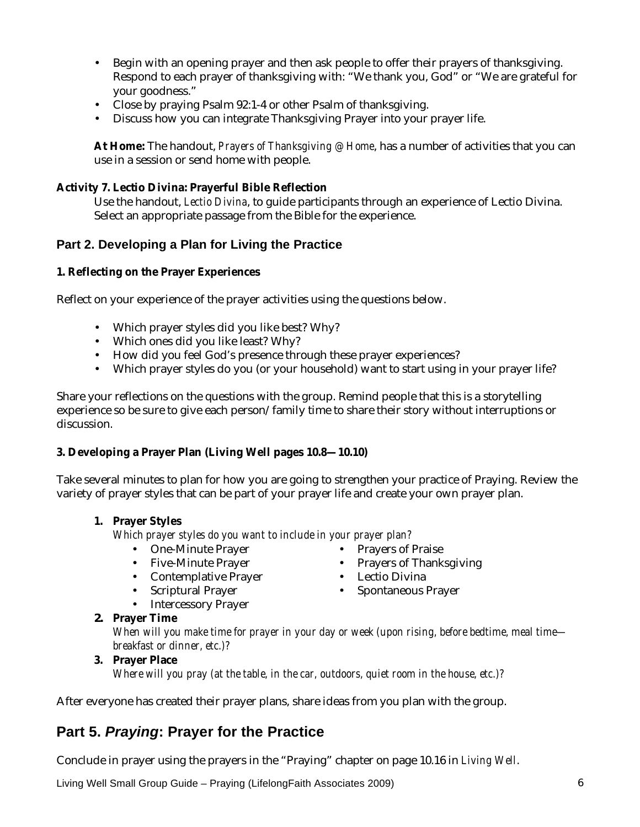- Begin with an opening prayer and then ask people to offer their prayers of thanksgiving. Respond to each prayer of thanksgiving with: "We thank you, God" or "We are grateful for your goodness."
- Close by praying Psalm 92:1-4 or other Psalm of thanksgiving.
- Discuss how you can integrate Thanksgiving Prayer into your prayer life.

**At Home:** The handout, *Prayers of Thanksgiving @ Home*, has a number of activities that you can use in a session or send home with people.

#### **Activity 7. Lectio Divina: Prayerful Bible Reflection**

Use the handout, *Lectio Divina*, to guide participants through an experience of Lectio Divina. Select an appropriate passage from the Bible for the experience.

#### **Part 2. Developing a Plan for Living the Practice**

#### **1. Reflecting on the Prayer Experiences**

Reflect on your experience of the prayer activities using the questions below.

- Which prayer styles did you like best? Why?
- Which ones did you like least? Why?
- How did you feel God's presence through these prayer experiences?
- Which prayer styles do you (or your household) want to start using in your prayer life?

Share your reflections on the questions with the group. Remind people that this is a storytelling experience so be sure to give each person/family time to share their story without interruptions or discussion.

#### **3. Developing a Prayer Plan (Living Well pages 10.8—10.10)**

Take several minutes to plan for how you are going to strengthen your practice of Praying. Review the variety of prayer styles that can be part of your prayer life and create your own prayer plan.

#### **1. Prayer Styles**

*Which prayer styles do you want to include in your prayer plan?* 

- One-Minute Prayer
- Five-Minute Prayer
- Contemplative Prayer
- Scriptural Prayer
- Intercessory Prayer
- *2.* **Prayer Time**
	- *When will you make time for prayer in your day or week (upon rising, before bedtime, meal time breakfast or dinner, etc.)?*

#### **3. Prayer Place**

*Where will you pray (at the table, in the car, outdoors, quiet room in the house, etc.)?* 

After everyone has created their prayer plans, share ideas from you plan with the group.

### **Part 5.** *Praying***: Prayer for the Practice**

Conclude in prayer using the prayers in the "Praying" chapter on page 10.16 in *Living Well*.

Living Well Small Group Guide – Praying (LifelongFaith Associates 2009) 6

- Prayers of Praise
- Prayers of Thanksgiving
- Lectio Divina
- Spontaneous Prayer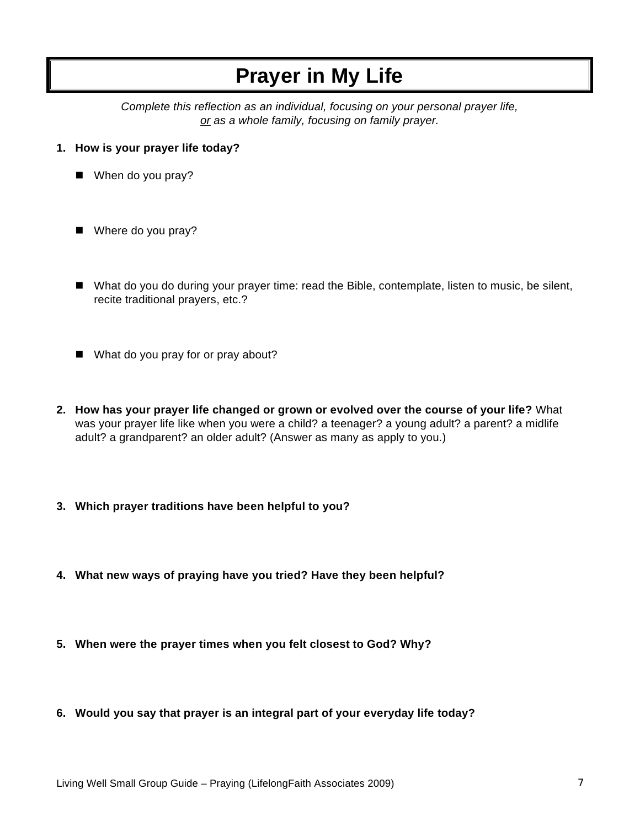# **Prayer in My Life**

*Complete this reflection as an individual, focusing on your personal prayer life, or as a whole family, focusing on family prayer.* 

- **1. How is your prayer life today?** 
	- When do you pray?
	- Where do you pray?
	- What do you do during your prayer time: read the Bible, contemplate, listen to music, be silent, recite traditional prayers, etc.?
	- What do you pray for or pray about?
- **2. How has your prayer life changed or grown or evolved over the course of your life?** What was your prayer life like when you were a child? a teenager? a young adult? a parent? a midlife adult? a grandparent? an older adult? (Answer as many as apply to you.)
- **3. Which prayer traditions have been helpful to you?**
- **4. What new ways of praying have you tried? Have they been helpful?**
- **5. When were the prayer times when you felt closest to God? Why?**
- **6. Would you say that prayer is an integral part of your everyday life today?**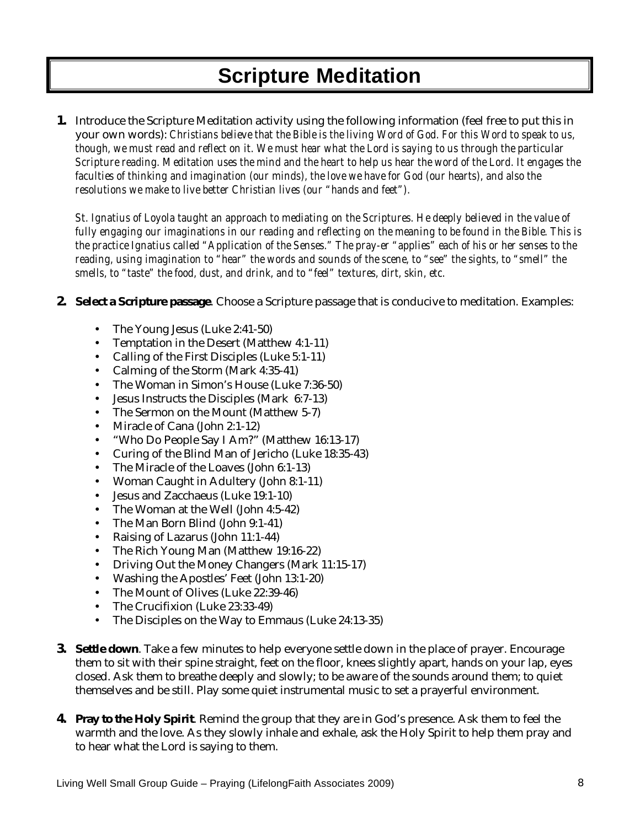# **Scripture Meditation**

**1.** Introduce the Scripture Meditation activity using the following information (feel free to put this in your own words): *Christians believe that the Bible is the living Word of God. For this Word to speak to us, though, we must read and reflect on it. We must hear what the Lord is saying to us through the particular Scripture reading. Meditation uses the mind and the heart to help us hear the word of the Lord. It engages the faculties of thinking and imagination (our minds), the love we have for God (our hearts), and also the resolutions we make to live better Christian lives (our "hands and feet").*

*St. Ignatius of Loyola taught an approach to mediating on the Scriptures. He deeply believed in the value of*  fully engaging our imaginations in our reading and reflecting on the meaning to be found in the Bible. This is *the practice Ignatius called "Application of the Senses." The pray-er "applies" each of his or her senses to the reading, using imagination to "hear" the words and sounds of the scene, to "see" the sights, to "smell" the smells, to "taste" the food, dust, and drink, and to "feel" textures, dirt, skin, etc.*

#### **2. Select a Scripture passage**. Choose a Scripture passage that is conducive to meditation. Examples:

- The Young Jesus (Luke 2:41-50)
- Temptation in the Desert (Matthew 4:1-11)
- Calling of the First Disciples (Luke 5:1-11)
- Calming of the Storm (Mark 4:35-41)
- The Woman in Simon's House (Luke 7:36-50)
- Jesus Instructs the Disciples (Mark 6:7-13)
- The Sermon on the Mount (Matthew 5-7)
- Miracle of Cana (John 2:1-12)
- "Who Do People Say I Am?" (Matthew 16:13-17)
- Curing of the Blind Man of Jericho (Luke 18:35-43)
- The Miracle of the Loaves (John 6:1-13)
- Woman Caught in Adultery (John 8:1-11)
- Jesus and Zacchaeus (Luke 19:1-10)
- The Woman at the Well (John 4:5-42)
- The Man Born Blind (John 9:1-41)
- Raising of Lazarus (John 11:1-44)
- The Rich Young Man (Matthew 19:16-22)
- Driving Out the Money Changers (Mark 11:15-17)
- Washing the Apostles' Feet (John 13:1-20)
- The Mount of Olives (Luke 22:39-46)
- The Crucifixion (Luke 23:33-49)
- The Disciples on the Way to Emmaus (Luke 24:13-35)
- **3. Settle down**. Take a few minutes to help everyone settle down in the place of prayer. Encourage them to sit with their spine straight, feet on the floor, knees slightly apart, hands on your lap, eyes closed. Ask them to breathe deeply and slowly; to be aware of the sounds around them; to quiet themselves and be still. Play some quiet instrumental music to set a prayerful environment.
- **4. Pray to the Holy Spirit**. Remind the group that they are in God's presence. Ask them to feel the warmth and the love. As they slowly inhale and exhale, ask the Holy Spirit to help them pray and to hear what the Lord is saying to them.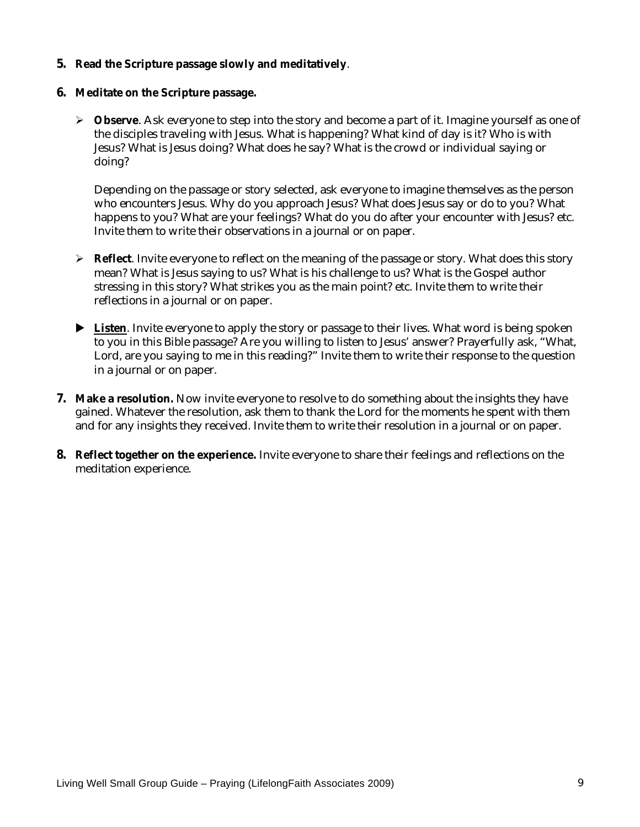- **5. Read the Scripture passage slowly and meditatively**.
- **6. Meditate on the Scripture passage.** 
	- **Observe**. Ask everyone to step into the story and become a part of it. Imagine yourself as one of the disciples traveling with Jesus. What is happening? What kind of day is it? Who is with Jesus? What is Jesus doing? What does he say? What is the crowd or individual saying or doing?

Depending on the passage or story selected, ask everyone to imagine themselves as the person who encounters Jesus. Why do you approach Jesus? What does Jesus say or do to you? What happens to you? What are your feelings? What do you do after your encounter with Jesus? etc. Invite them to write their observations in a journal or on paper.

- **►** Reflect. Invite everyone to reflect on the meaning of the passage or story. What does this story mean? What is Jesus saying to us? What is his challenge to us? What is the Gospel author stressing in this story? What strikes you as the main point? etc. Invite them to write their reflections in a journal or on paper.
- **Listen**. Invite everyone to apply the story or passage to their lives. What word is being spoken to you in this Bible passage? Are you willing to listen to Jesus' answer? Prayerfully ask, "What, Lord, are you saying to me in this reading?" Invite them to write their response to the question in a journal or on paper.
- **7. Make a resolution.** Now invite everyone to resolve to do something about the insights they have gained. Whatever the resolution, ask them to thank the Lord for the moments he spent with them and for any insights they received. Invite them to write their resolution in a journal or on paper.
- **8. Reflect together on the experience.** Invite everyone to share their feelings and reflections on the meditation experience.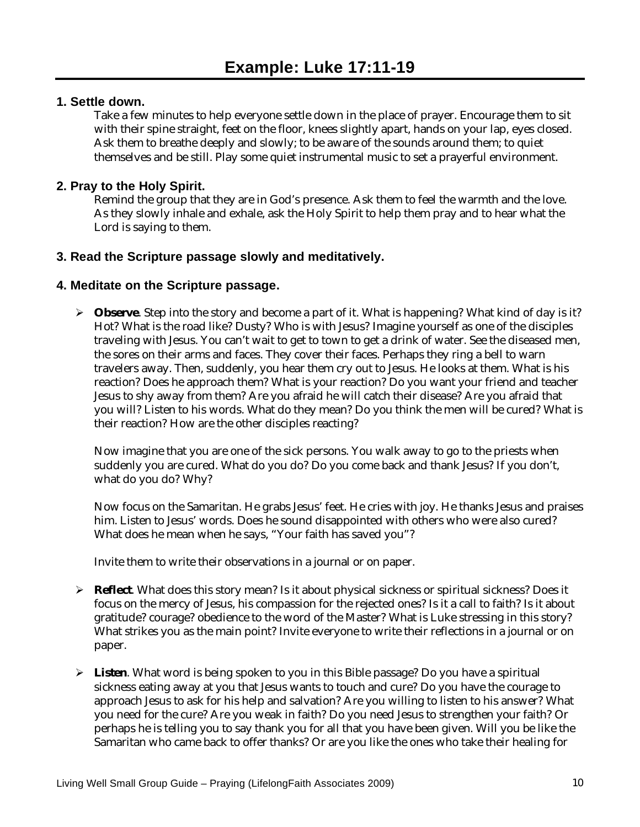#### **1. Settle down.**

Take a few minutes to help everyone settle down in the place of prayer. Encourage them to sit with their spine straight, feet on the floor, knees slightly apart, hands on your lap, eyes closed. Ask them to breathe deeply and slowly; to be aware of the sounds around them; to quiet themselves and be still. Play some quiet instrumental music to set a prayerful environment.

#### **2. Pray to the Holy Spirit.**

Remind the group that they are in God's presence. Ask them to feel the warmth and the love. As they slowly inhale and exhale, ask the Holy Spirit to help them pray and to hear what the Lord is saying to them.

#### **3. Read the Scripture passage slowly and meditatively.**

#### **4. Meditate on the Scripture passage.**

- **Observe**. Step into the story and become a part of it. What is happening? What kind of day is it? Hot? What is the road like? Dusty? Who is with Jesus? Imagine yourself as one of the disciples traveling with Jesus. You can't wait to get to town to get a drink of water. See the diseased men, the sores on their arms and faces. They cover their faces. Perhaps they ring a bell to warn travelers away. Then, suddenly, you hear them cry out to Jesus. He looks at them. What is his reaction? Does he approach them? What is your reaction? Do you want your friend and teacher Jesus to shy away from them? Are you afraid he will catch their disease? Are you afraid that you will? Listen to his words. What do they mean? Do you think the men will be cured? What is their reaction? How are the other disciples reacting?

Now imagine that you are one of the sick persons. You walk away to go to the priests when suddenly you are cured. What do you do? Do you come back and thank Jesus? If you don't, what do you do? Why?

Now focus on the Samaritan. He grabs Jesus' feet. He cries with joy. He thanks Jesus and praises him. Listen to Jesus' words. Does he sound disappointed with others who were also cured? What does he mean when he says, "Your faith has saved you"?

Invite them to write their observations in a journal or on paper.

- **Reflect**. What does this story mean? Is it about physical sickness or spiritual sickness? Does it focus on the mercy of Jesus, his compassion for the rejected ones? Is it a call to faith? Is it about gratitude? courage? obedience to the word of the Master? What is Luke stressing in this story? What strikes you as the main point? Invite everyone to write their reflections in a journal or on paper.
- **Listen**. What word is being spoken to you in this Bible passage? Do you have a spiritual sickness eating away at you that Jesus wants to touch and cure? Do you have the courage to approach Jesus to ask for his help and salvation? Are you willing to listen to his answer? What you need for the cure? Are you weak in faith? Do you need Jesus to strengthen your faith? Or perhaps he is telling you to say thank you for all that you have been given. Will you be like the Samaritan who came back to offer thanks? Or are you like the ones who take their healing for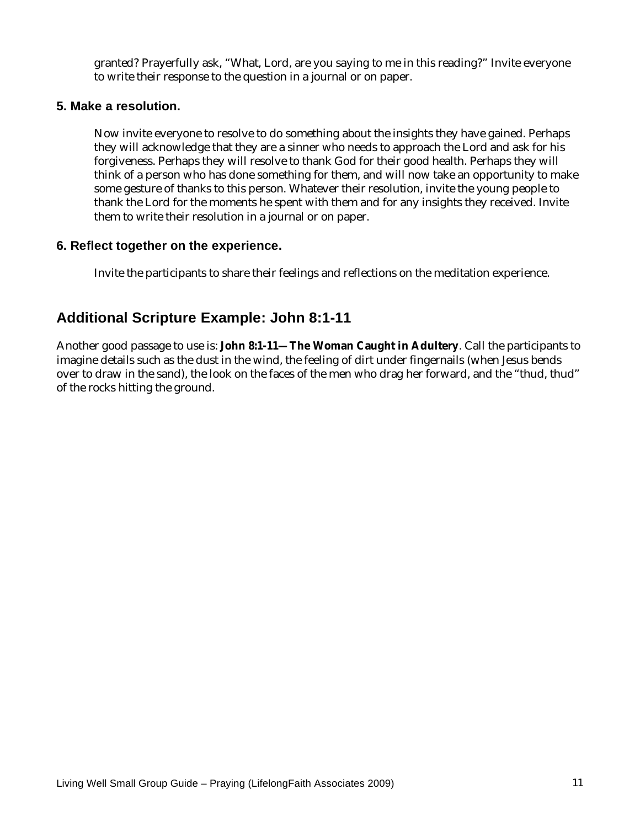granted? Prayerfully ask, "What, Lord, are you saying to me in this reading?" Invite everyone to write their response to the question in a journal or on paper.

#### **5. Make a resolution.**

Now invite everyone to resolve to do something about the insights they have gained. Perhaps they will acknowledge that they are a sinner who needs to approach the Lord and ask for his forgiveness. Perhaps they will resolve to thank God for their good health. Perhaps they will think of a person who has done something for them, and will now take an opportunity to make some gesture of thanks to this person. Whatever their resolution, invite the young people to thank the Lord for the moments he spent with them and for any insights they received. Invite them to write their resolution in a journal or on paper.

#### **6. Reflect together on the experience.**

Invite the participants to share their feelings and reflections on the meditation experience.

### **Additional Scripture Example: John 8:1-11**

Another good passage to use is: **John 8:1-11—The Woman Caught in Adultery**. Call the participants to imagine details such as the dust in the wind, the feeling of dirt under fingernails (when Jesus bends over to draw in the sand), the look on the faces of the men who drag her forward, and the "thud, thud" of the rocks hitting the ground.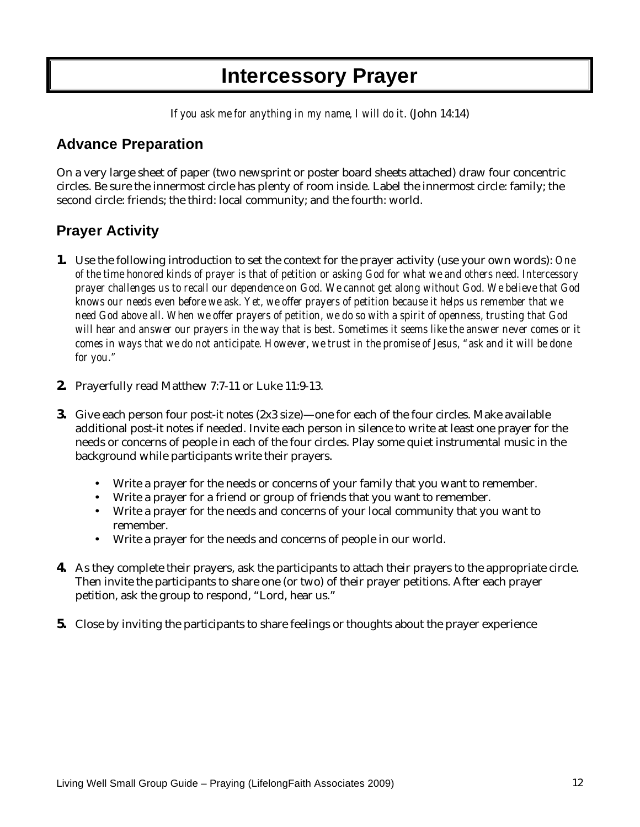## **Intercessory Prayer**

I*f you ask me for anything in my name, I will do it*. (John 14:14)

### **Advance Preparation**

On a very large sheet of paper (two newsprint or poster board sheets attached) draw four concentric circles. Be sure the innermost circle has plenty of room inside. Label the innermost circle: family; the second circle: friends; the third: local community; and the fourth: world.

## **Prayer Activity**

- **1.** Use the following introduction to set the context for the prayer activity (use your own words): *One of the time honored kinds of prayer is that of petition or asking God for what we and others need. Intercessory prayer challenges us to recall our dependence on God. We cannot get along without God. We believe that God knows our needs even before we ask. Yet, we offer prayers of petition because it helps us remember that we need God above all. When we offer prayers of petition, we do so with a spirit of openness, trusting that God will hear and answer our prayers in the way that is best. Sometimes it seems like the answer never comes or it comes in ways that we do not anticipate. However, we trust in the promise of Jesus, "ask and it will be done for you."*
- **2.** Prayerfully read Matthew 7:7-11 or Luke 11:9-13.
- **3.** Give each person four post-it notes (2x3 size)—one for each of the four circles. Make available additional post-it notes if needed. Invite each person in silence to write at least one prayer for the needs or concerns of people in each of the four circles. Play some quiet instrumental music in the background while participants write their prayers.
	- Write a prayer for the needs or concerns of your family that you want to remember.
	- Write a prayer for a friend or group of friends that you want to remember.
	- Write a prayer for the needs and concerns of your local community that you want to remember.
	- Write a prayer for the needs and concerns of people in our world.
- **4.** As they complete their prayers, ask the participants to attach their prayers to the appropriate circle. Then invite the participants to share one (or two) of their prayer petitions. After each prayer petition, ask the group to respond, "Lord, hear us."
- **5.** Close by inviting the participants to share feelings or thoughts about the prayer experience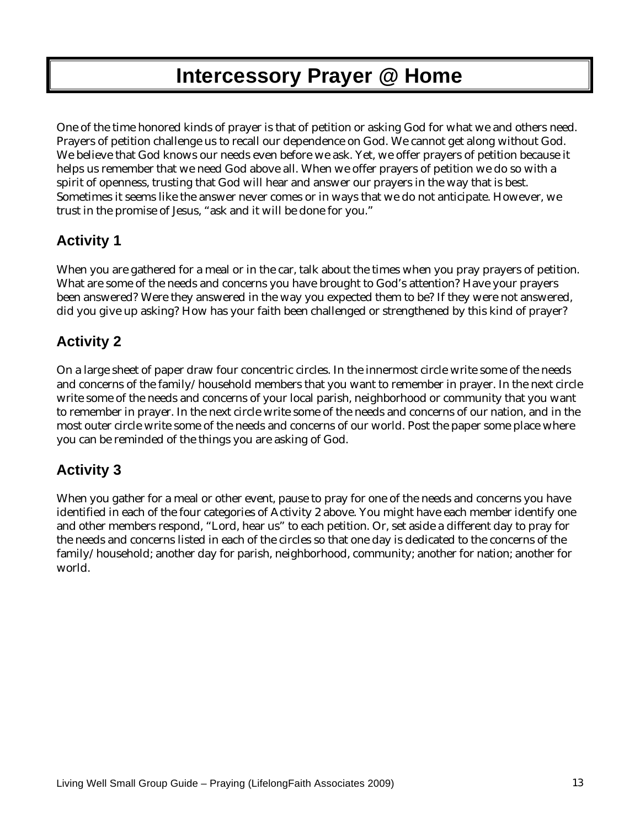# **Intercessory Prayer @ Home**

One of the time honored kinds of prayer is that of petition or asking God for what we and others need. Prayers of petition challenge us to recall our dependence on God. We cannot get along without God. We believe that God knows our needs even before we ask. Yet, we offer prayers of petition because it helps us remember that we need God above all. When we offer prayers of petition we do so with a spirit of openness, trusting that God will hear and answer our prayers in the way that is best. Sometimes it seems like the answer never comes or in ways that we do not anticipate. However, we trust in the promise of Jesus, "ask and it will be done for you."

## **Activity 1**

When you are gathered for a meal or in the car, talk about the times when you pray prayers of petition. What are some of the needs and concerns you have brought to God's attention? Have your prayers been answered? Were they answered in the way you expected them to be? If they were not answered, did you give up asking? How has your faith been challenged or strengthened by this kind of prayer?

## **Activity 2**

On a large sheet of paper draw four concentric circles. In the innermost circle write some of the needs and concerns of the family/household members that you want to remember in prayer. In the next circle write some of the needs and concerns of your local parish, neighborhood or community that you want to remember in prayer. In the next circle write some of the needs and concerns of our nation, and in the most outer circle write some of the needs and concerns of our world. Post the paper some place where you can be reminded of the things you are asking of God.

## **Activity 3**

When you gather for a meal or other event, pause to pray for one of the needs and concerns you have identified in each of the four categories of Activity 2 above. You might have each member identify one and other members respond, "Lord, hear us" to each petition. Or, set aside a different day to pray for the needs and concerns listed in each of the circles so that one day is dedicated to the concerns of the family/household; another day for parish, neighborhood, community; another for nation; another for world.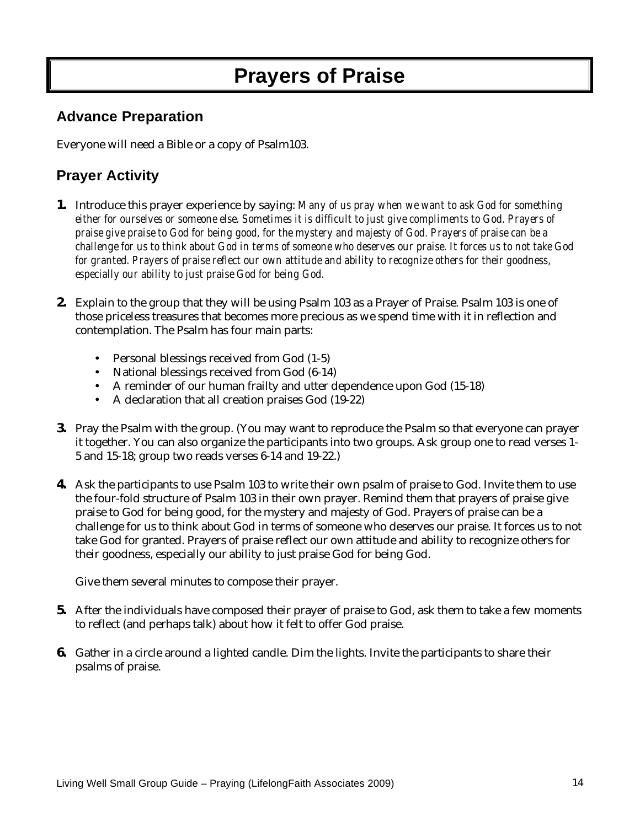# **Prayers of Praise**

### **Advance Preparation**

Everyone will need a Bible or a copy of Psalm103.

## **Prayer Activity**

- **1.** Introduce this prayer experience by saying: *Many of us pray when we want to ask God for something either for ourselves or someone else. Sometimes it is difficult to just give compliments to God. Prayers of praise give praise to God for being good, for the mystery and majesty of God. Prayers of praise can be a challenge for us to think about God in terms of someone who deserves our praise. It forces us to not take God for granted. Prayers of praise reflect our own attitude and ability to recognize others for their goodness, especially our ability to just praise God for being God.*
- **2.** Explain to the group that they will be using Psalm 103 as a Prayer of Praise. Psalm 103 is one of those priceless treasures that becomes more precious as we spend time with it in reflection and contemplation. The Psalm has four main parts:
	- Personal blessings received from God (1-5)
	- National blessings received from God (6-14)
	- A reminder of our human frailty and utter dependence upon God (15-18)
	- A declaration that all creation praises God (19-22)
- **3.** Pray the Psalm with the group. (You may want to reproduce the Psalm so that everyone can prayer it together. You can also organize the participants into two groups. Ask group one to read verses 1- 5 and 15-18; group two reads verses 6-14 and 19-22.)
- **4.** Ask the participants to use Psalm 103 to write their own psalm of praise to God. Invite them to use the four-fold structure of Psalm 103 in their own prayer. Remind them that prayers of praise give praise to God for being good, for the mystery and majesty of God. Prayers of praise can be a challenge for us to think about God in terms of someone who deserves our praise. It forces us to not take God for granted. Prayers of praise reflect our own attitude and ability to recognize others for their goodness, especially our ability to just praise God for being God.

Give them several minutes to compose their prayer.

- **5.** After the individuals have composed their prayer of praise to God, ask them to take a few moments to reflect (and perhaps talk) about how it felt to offer God praise.
- **6.** Gather in a circle around a lighted candle. Dim the lights. Invite the participants to share their psalms of praise.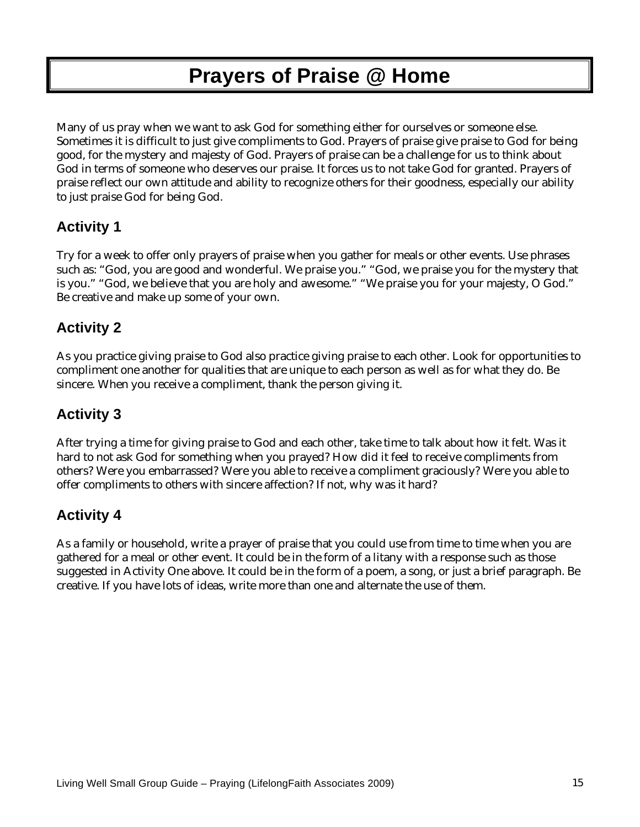# **Prayers of Praise @ Home**

Many of us pray when we want to ask God for something either for ourselves or someone else. Sometimes it is difficult to just give compliments to God. Prayers of praise give praise to God for being good, for the mystery and majesty of God. Prayers of praise can be a challenge for us to think about God in terms of someone who deserves our praise. It forces us to not take God for granted. Prayers of praise reflect our own attitude and ability to recognize others for their goodness, especially our ability to just praise God for being God.

## **Activity 1**

Try for a week to offer only prayers of praise when you gather for meals or other events. Use phrases such as: "God, you are good and wonderful. We praise you." "God, we praise you for the mystery that is you." "God, we believe that you are holy and awesome." "We praise you for your majesty, O God." Be creative and make up some of your own.

## **Activity 2**

As you practice giving praise to God also practice giving praise to each other. Look for opportunities to compliment one another for qualities that are unique to each person as well as for what they do. Be sincere. When you receive a compliment, thank the person giving it.

## **Activity 3**

After trying a time for giving praise to God and each other, take time to talk about how it felt. Was it hard to not ask God for something when you prayed? How did it feel to receive compliments from others? Were you embarrassed? Were you able to receive a compliment graciously? Were you able to offer compliments to others with sincere affection? If not, why was it hard?

## **Activity 4**

As a family or household, write a prayer of praise that you could use from time to time when you are gathered for a meal or other event. It could be in the form of a litany with a response such as those suggested in Activity One above. It could be in the form of a poem, a song, or just a brief paragraph. Be creative. If you have lots of ideas, write more than one and alternate the use of them.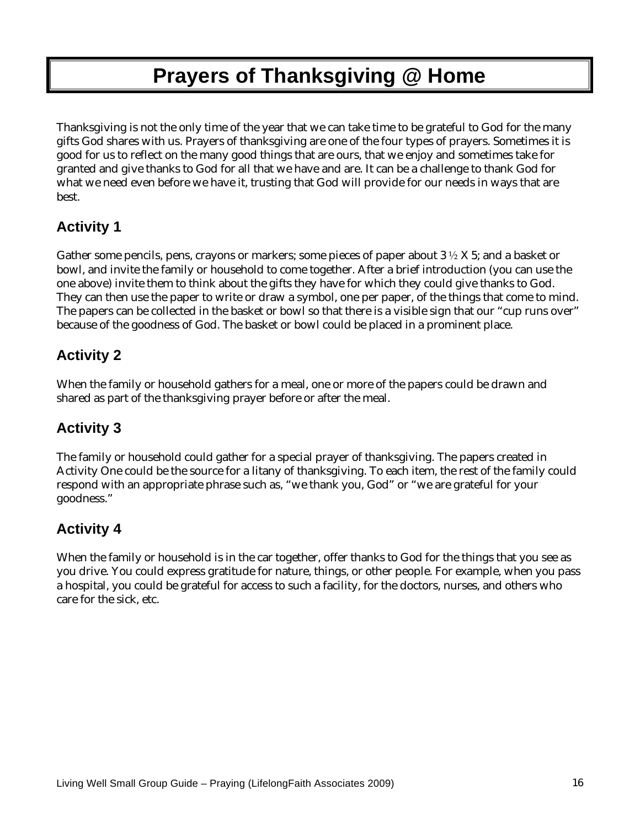# **Prayers of Thanksgiving @ Home**

Thanksgiving is not the only time of the year that we can take time to be grateful to God for the many gifts God shares with us. Prayers of thanksgiving are one of the four types of prayers. Sometimes it is good for us to reflect on the many good things that are ours, that we enjoy and sometimes take for granted and give thanks to God for all that we have and are. It can be a challenge to thank God for what we need even before we have it, trusting that God will provide for our needs in ways that are best.

## **Activity 1**

Gather some pencils, pens, crayons or markers; some pieces of paper about 3  $\frac{1}{2}$  X 5; and a basket or bowl, and invite the family or household to come together. After a brief introduction (you can use the one above) invite them to think about the gifts they have for which they could give thanks to God. They can then use the paper to write or draw a symbol, one per paper, of the things that come to mind. The papers can be collected in the basket or bowl so that there is a visible sign that our "cup runs over" because of the goodness of God. The basket or bowl could be placed in a prominent place.

## **Activity 2**

When the family or household gathers for a meal, one or more of the papers could be drawn and shared as part of the thanksgiving prayer before or after the meal.

## **Activity 3**

The family or household could gather for a special prayer of thanksgiving. The papers created in Activity One could be the source for a litany of thanksgiving. To each item, the rest of the family could respond with an appropriate phrase such as, "we thank you, God" or "we are grateful for your goodness."

## **Activity 4**

When the family or household is in the car together, offer thanks to God for the things that you see as you drive. You could express gratitude for nature, things, or other people. For example, when you pass a hospital, you could be grateful for access to such a facility, for the doctors, nurses, and others who care for the sick, etc.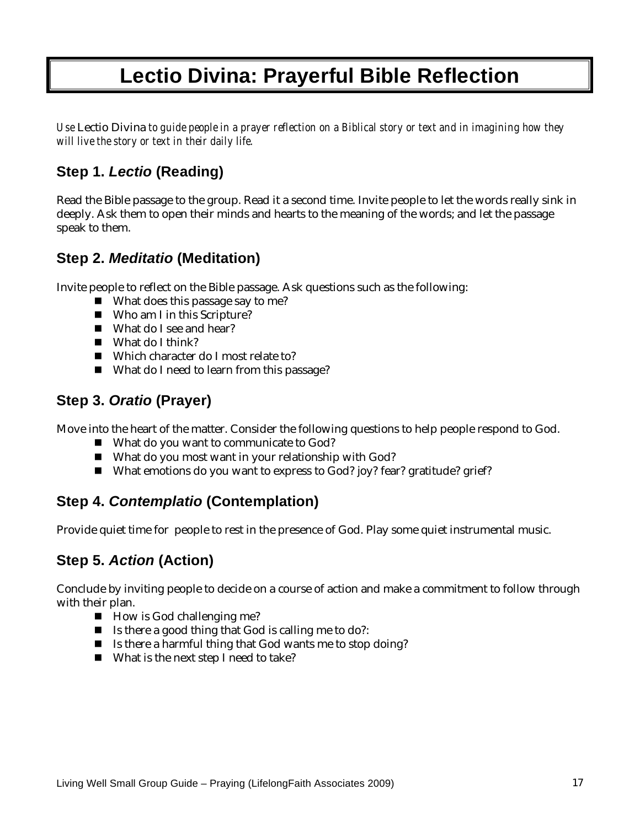# **Lectio Divina: Prayerful Bible Reflection**

*Use* Lectio Divina *to guide people in a prayer reflection on a Biblical story or text and in imagining how they will live the story or text in their daily life.* 

## **Step 1.** *Lectio* **(Reading)**

Read the Bible passage to the group. Read it a second time. Invite people to let the words really sink in deeply. Ask them to open their minds and hearts to the meaning of the words; and let the passage speak to them.

## **Step 2.** *Meditatio* **(Meditation)**

Invite people to reflect on the Bible passage. Ask questions such as the following:

- What does this passage say to me?
- Who am I in this Scripture?
- What do I see and hear?
- What do I think?
- Which character do I most relate to?
- What do I need to learn from this passage?

## **Step 3.** *Oratio* **(Prayer)**

Move into the heart of the matter. Consider the following questions to help people respond to God.

- What do you want to communicate to God?
- What do you most want in your relationship with God?
- What emotions do you want to express to God? joy? fear? gratitude? grief?

### **Step 4.** *Contemplatio* **(Contemplation)**

Provide quiet time for people to rest in the presence of God. Play some quiet instrumental music.

### **Step 5.** *Action* **(Action)**

Conclude by inviting people to decide on a course of action and make a commitment to follow through with their plan.

- How is God challenging me?
- Is there a good thing that God is calling me to do?:
- $\blacksquare$  Is there a harmful thing that God wants me to stop doing?
- What is the next step I need to take?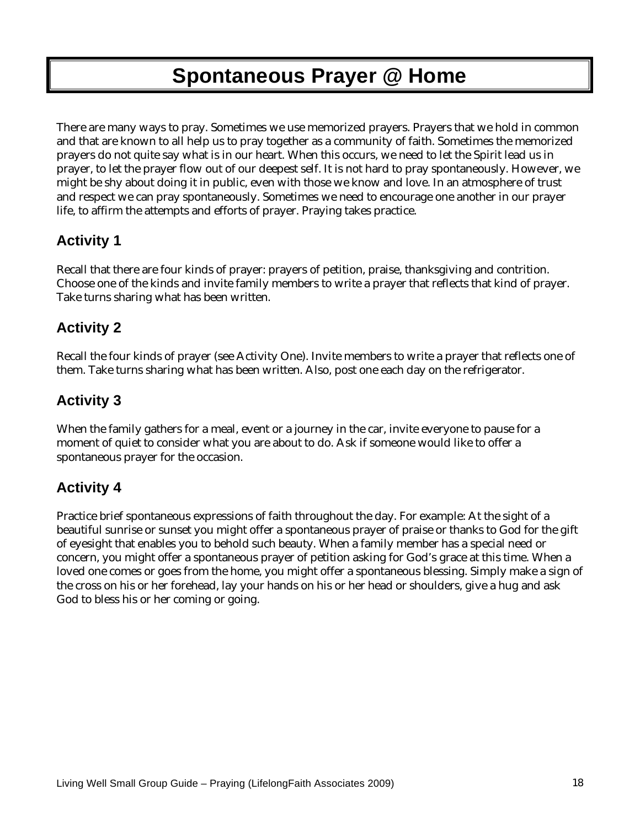# **Spontaneous Prayer @ Home**

There are many ways to pray. Sometimes we use memorized prayers. Prayers that we hold in common and that are known to all help us to pray together as a community of faith. Sometimes the memorized prayers do not quite say what is in our heart. When this occurs, we need to let the Spirit lead us in prayer, to let the prayer flow out of our deepest self. It is not hard to pray spontaneously. However, we might be shy about doing it in public, even with those we know and love. In an atmosphere of trust and respect we can pray spontaneously. Sometimes we need to encourage one another in our prayer life, to affirm the attempts and efforts of prayer. Praying takes practice.

## **Activity 1**

Recall that there are four kinds of prayer: prayers of petition, praise, thanksgiving and contrition. Choose one of the kinds and invite family members to write a prayer that reflects that kind of prayer. Take turns sharing what has been written.

## **Activity 2**

Recall the four kinds of prayer (see Activity One). Invite members to write a prayer that reflects one of them. Take turns sharing what has been written. Also, post one each day on the refrigerator.

## **Activity 3**

When the family gathers for a meal, event or a journey in the car, invite everyone to pause for a moment of quiet to consider what you are about to do. Ask if someone would like to offer a spontaneous prayer for the occasion.

### **Activity 4**

Practice brief spontaneous expressions of faith throughout the day. For example: At the sight of a beautiful sunrise or sunset you might offer a spontaneous prayer of praise or thanks to God for the gift of eyesight that enables you to behold such beauty. When a family member has a special need or concern, you might offer a spontaneous prayer of petition asking for God's grace at this time. When a loved one comes or goes from the home, you might offer a spontaneous blessing. Simply make a sign of the cross on his or her forehead, lay your hands on his or her head or shoulders, give a hug and ask God to bless his or her coming or going.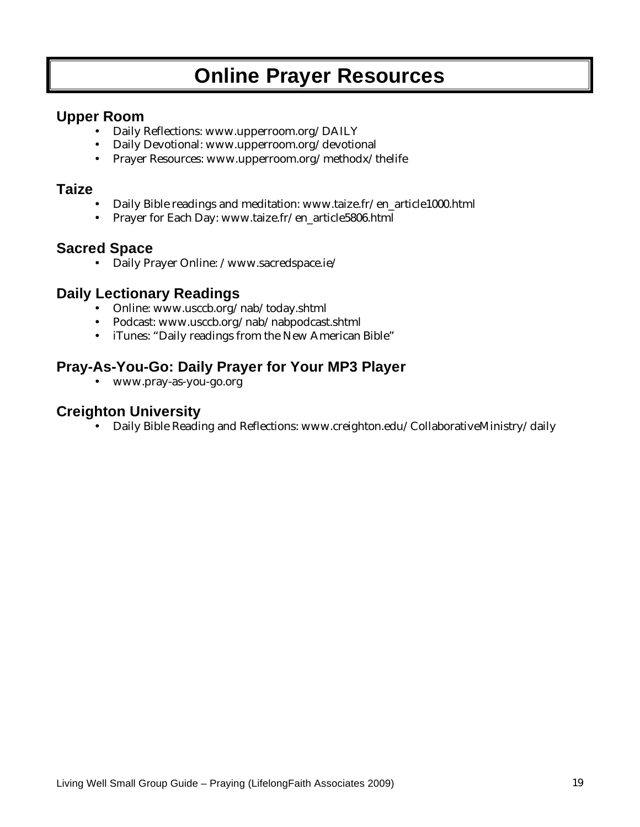# **Online Prayer Resources**

### **Upper Room**

- Daily Reflections: www.upperroom.org/DAILY
- Daily Devotional: www.upperroom.org/devotional
- Prayer Resources: www.upperroom.org/methodx/thelife

#### **Taize**

- Daily Bible readings and meditation: www.taize.fr/en\_article1000.html
- Prayer for Each Day: www.taize.fr/en\_article5806.html

#### **Sacred Space**

• Daily Prayer Online: /www.sacredspace.ie/

#### **Daily Lectionary Readings**

- Online: www.usccb.org/nab/today.shtml
- Podcast: www.usccb.org/nab/nabpodcast.shtml
- iTunes: "Daily readings from the New American Bible"

### **Pray-As-You-Go: Daily Prayer for Your MP3 Player**

• www.pray-as-you-go.org

#### **Creighton University**

• Daily Bible Reading and Reflections: www.creighton.edu/CollaborativeMinistry/daily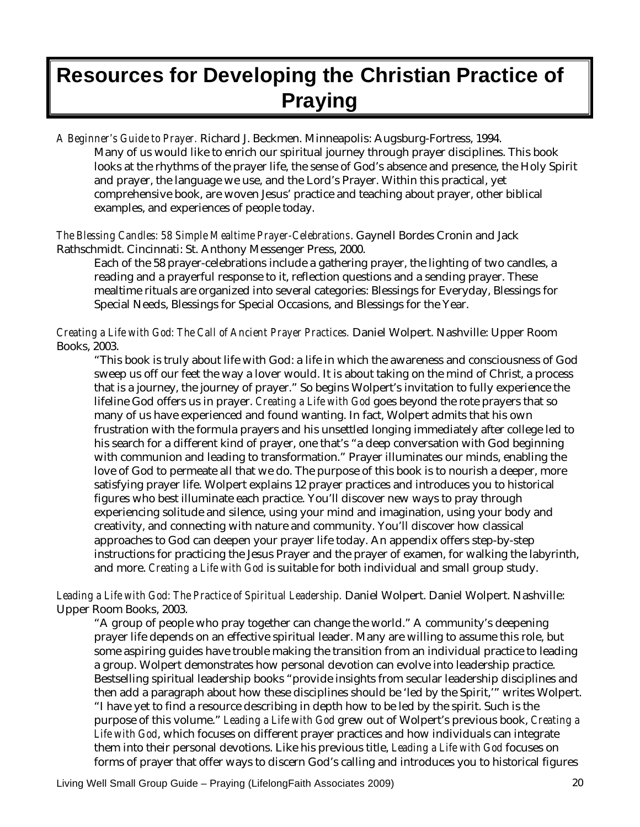# **Resources for Developing the Christian Practice of Praying**

*A Beginner's Guide to Prayer.* Richard J. Beckmen. Minneapolis: Augsburg-Fortress, 1994. Many of us would like to enrich our spiritual journey through prayer disciplines. This book looks at the rhythms of the prayer life, the sense of God's absence and presence, the Holy Spirit and prayer, the language we use, and the Lord's Prayer. Within this practical, yet comprehensive book, are woven Jesus' practice and teaching about prayer, other biblical examples, and experiences of people today.

*The Blessing Candles: 58 Simple Mealtime Prayer-Celebrations*. Gaynell Bordes Cronin and Jack Rathschmidt. Cincinnati: St. Anthony Messenger Press, 2000.

Each of the 58 prayer-celebrations include a gathering prayer, the lighting of two candles, a reading and a prayerful response to it, reflection questions and a sending prayer. These mealtime rituals are organized into several categories: Blessings for Everyday, Blessings for Special Needs, Blessings for Special Occasions, and Blessings for the Year.

#### *Creating a Life with God: The Call of Ancient Prayer Practices.* Daniel Wolpert. Nashville: Upper Room Books, 2003.

"This book is truly about life with God: a life in which the awareness and consciousness of God sweep us off our feet the way a lover would. It is about taking on the mind of Christ, a process that is a journey, the journey of prayer." So begins Wolpert's invitation to fully experience the lifeline God offers us in prayer. *Creating a Life with God* goes beyond the rote prayers that so many of us have experienced and found wanting. In fact, Wolpert admits that his own frustration with the formula prayers and his unsettled longing immediately after college led to his search for a different kind of prayer, one that's "a deep conversation with God beginning with communion and leading to transformation." Prayer illuminates our minds, enabling the love of God to permeate all that we do. The purpose of this book is to nourish a deeper, more satisfying prayer life. Wolpert explains 12 prayer practices and introduces you to historical figures who best illuminate each practice. You'll discover new ways to pray through experiencing solitude and silence, using your mind and imagination, using your body and creativity, and connecting with nature and community. You'll discover how classical approaches to God can deepen your prayer life today. An appendix offers step-by-step instructions for practicing the Jesus Prayer and the prayer of examen, for walking the labyrinth, and more. *Creating a Life with God* is suitable for both individual and small group study.

#### *Leading a Life with God: The Practice of Spiritual Leadership.* Daniel Wolpert. Daniel Wolpert. Nashville: Upper Room Books, 2003.

"A group of people who pray together can change the world." A community's deepening prayer life depends on an effective spiritual leader. Many are willing to assume this role, but some aspiring guides have trouble making the transition from an individual practice to leading a group. Wolpert demonstrates how personal devotion can evolve into leadership practice. Bestselling spiritual leadership books "provide insights from secular leadership disciplines and then add a paragraph about how these disciplines should be 'led by the Spirit,'" writes Wolpert. "I have yet to find a resource describing in depth how to be led by the spirit. Such is the purpose of this volume." *Leading a Life with God* grew out of Wolpert's previous book, *Creating a Life with God*, which focuses on different prayer practices and how individuals can integrate them into their personal devotions. Like his previous title, *Leading a Life with God* focuses on forms of prayer that offer ways to discern God's calling and introduces you to historical figures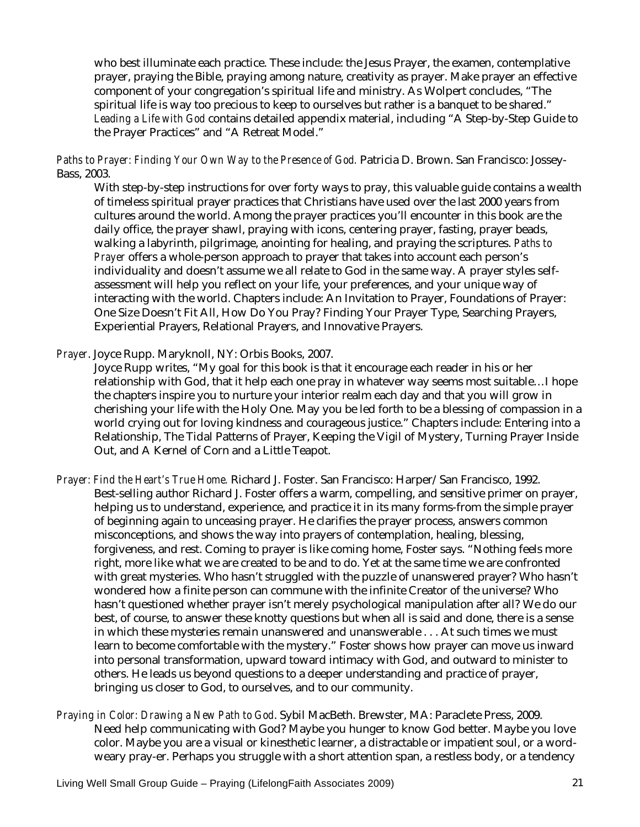who best illuminate each practice. These include: the Jesus Prayer, the examen, contemplative prayer, praying the Bible, praying among nature, creativity as prayer. Make prayer an effective component of your congregation's spiritual life and ministry. As Wolpert concludes, "The spiritual life is way too precious to keep to ourselves but rather is a banquet to be shared." *Leading a Life with God* contains detailed appendix material, including "A Step-by-Step Guide to the Prayer Practices" and "A Retreat Model."

*Paths to Prayer: Finding Your Own Way to the Presence of God.* Patricia D. Brown. San Francisco: Jossey-Bass, 2003.

With step-by-step instructions for over forty ways to pray, this valuable guide contains a wealth of timeless spiritual prayer practices that Christians have used over the last 2000 years from cultures around the world. Among the prayer practices you'll encounter in this book are the daily office, the prayer shawl, praying with icons, centering prayer, fasting, prayer beads, walking a labyrinth, pilgrimage, anointing for healing, and praying the scriptures. *Paths to Prayer* offers a whole-person approach to prayer that takes into account each person's individuality and doesn't assume we all relate to God in the same way. A prayer styles selfassessment will help you reflect on your life, your preferences, and your unique way of interacting with the world. Chapters include: An Invitation to Prayer, Foundations of Prayer: One Size Doesn't Fit All, How Do You Pray? Finding Your Prayer Type, Searching Prayers, Experiential Prayers, Relational Prayers, and Innovative Prayers.

#### *Prayer*. Joyce Rupp. Maryknoll, NY: Orbis Books, 2007.

Joyce Rupp writes, "My goal for this book is that it encourage each reader in his or her relationship with God, that it help each one pray in whatever way seems most suitable…I hope the chapters inspire you to nurture your interior realm each day and that you will grow in cherishing your life with the Holy One. May you be led forth to be a blessing of compassion in a world crying out for loving kindness and courageous justice." Chapters include: Entering into a Relationship, The Tidal Patterns of Prayer, Keeping the Vigil of Mystery, Turning Prayer Inside Out, and A Kernel of Corn and a Little Teapot.

- *Prayer: Find the Heart's True Home.* Richard J. Foster. San Francisco: Harper/San Francisco, 1992. Best-selling author Richard J. Foster offers a warm, compelling, and sensitive primer on prayer, helping us to understand, experience, and practice it in its many forms-from the simple prayer of beginning again to unceasing prayer. He clarifies the prayer process, answers common misconceptions, and shows the way into prayers of contemplation, healing, blessing, forgiveness, and rest. Coming to prayer is like coming home, Foster says. "Nothing feels more right, more like what we are created to be and to do. Yet at the same time we are confronted with great mysteries. Who hasn't struggled with the puzzle of unanswered prayer? Who hasn't wondered how a finite person can commune with the infinite Creator of the universe? Who hasn't questioned whether prayer isn't merely psychological manipulation after all? We do our best, of course, to answer these knotty questions but when all is said and done, there is a sense in which these mysteries remain unanswered and unanswerable . . . At such times we must learn to become comfortable with the mystery." Foster shows how prayer can move us inward into personal transformation, upward toward intimacy with God, and outward to minister to others. He leads us beyond questions to a deeper understanding and practice of prayer, bringing us closer to God, to ourselves, and to our community.
- *Praying in Color: Drawing a New Path to God*. Sybil MacBeth. Brewster, MA: Paraclete Press, 2009. Need help communicating with God? Maybe you hunger to know God better. Maybe you love color. Maybe you are a visual or kinesthetic learner, a distractable or impatient soul, or a wordweary pray-er. Perhaps you struggle with a short attention span, a restless body, or a tendency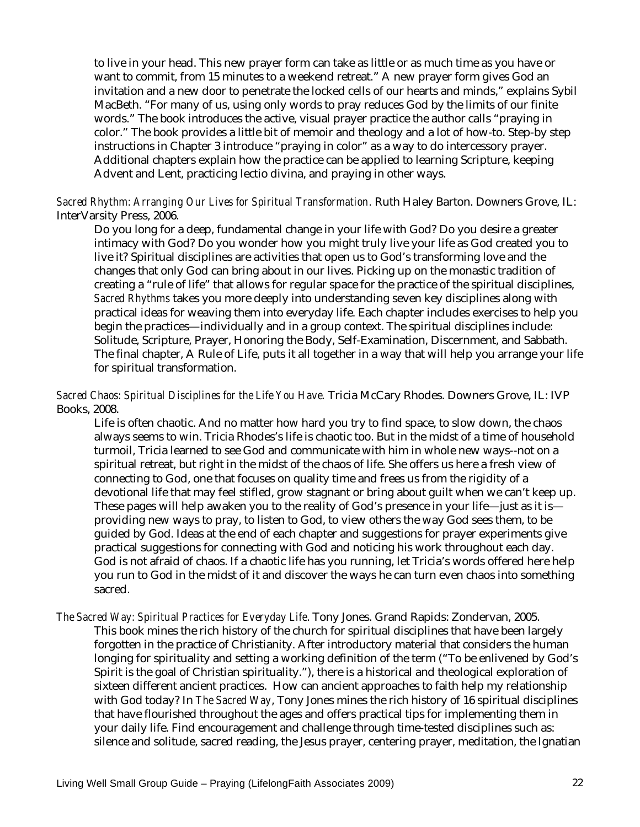to live in your head. This new prayer form can take as little or as much time as you have or want to commit, from 15 minutes to a weekend retreat." A new prayer form gives God an invitation and a new door to penetrate the locked cells of our hearts and minds," explains Sybil MacBeth. "For many of us, using only words to pray reduces God by the limits of our finite words." The book introduces the active, visual prayer practice the author calls "praying in color." The book provides a little bit of memoir and theology and a lot of how-to. Step-by step instructions in Chapter 3 introduce "praying in color" as a way to do intercessory prayer. Additional chapters explain how the practice can be applied to learning Scripture, keeping Advent and Lent, practicing lectio divina, and praying in other ways.

*Sacred Rhythm: Arranging Our Lives for Spiritual Transformation.* Ruth Haley Barton. Downers Grove, IL: InterVarsity Press, 2006.

Do you long for a deep, fundamental change in your life with God? Do you desire a greater intimacy with God? Do you wonder how you might truly live your life as God created you to live it? Spiritual disciplines are activities that open us to God's transforming love and the changes that only God can bring about in our lives. Picking up on the monastic tradition of creating a "rule of life" that allows for regular space for the practice of the spiritual disciplines, *Sacred Rhythms* takes you more deeply into understanding seven key disciplines along with practical ideas for weaving them into everyday life. Each chapter includes exercises to help you begin the practices—individually and in a group context. The spiritual disciplines include: Solitude, Scripture, Prayer, Honoring the Body, Self-Examination, Discernment, and Sabbath. The final chapter, A Rule of Life, puts it all together in a way that will help you arrange your life for spiritual transformation.

*Sacred Chaos: Spiritual Disciplines for the Life You Have.* Tricia McCary Rhodes. Downers Grove, IL: IVP Books, 2008.

Life is often chaotic. And no matter how hard you try to find space, to slow down, the chaos always seems to win. Tricia Rhodes's life is chaotic too. But in the midst of a time of household turmoil, Tricia learned to see God and communicate with him in whole new ways--not on a spiritual retreat, but right in the midst of the chaos of life. She offers us here a fresh view of connecting to God, one that focuses on quality time and frees us from the rigidity of a devotional life that may feel stifled, grow stagnant or bring about guilt when we can't keep up. These pages will help awaken you to the reality of God's presence in your life—just as it is providing new ways to pray, to listen to God, to view others the way God sees them, to be guided by God. Ideas at the end of each chapter and suggestions for prayer experiments give practical suggestions for connecting with God and noticing his work throughout each day. God is not afraid of chaos. If a chaotic life has you running, let Tricia's words offered here help you run to God in the midst of it and discover the ways he can turn even chaos into something sacred.

*The Sacred Way: Spiritual Practices for Everyday Life*. Tony Jones. Grand Rapids: Zondervan, 2005. This book mines the rich history of the church for spiritual disciplines that have been largely forgotten in the practice of Christianity. After introductory material that considers the human longing for spirituality and setting a working definition of the term ("To be enlivened by God's Spirit is the goal of Christian spirituality."), there is a historical and theological exploration of sixteen different ancient practices. How can ancient approaches to faith help my relationship with God today? In *The Sacred Way*, Tony Jones mines the rich history of 16 spiritual disciplines that have flourished throughout the ages and offers practical tips for implementing them in your daily life. Find encouragement and challenge through time-tested disciplines such as: silence and solitude, sacred reading, the Jesus prayer, centering prayer, meditation, the Ignatian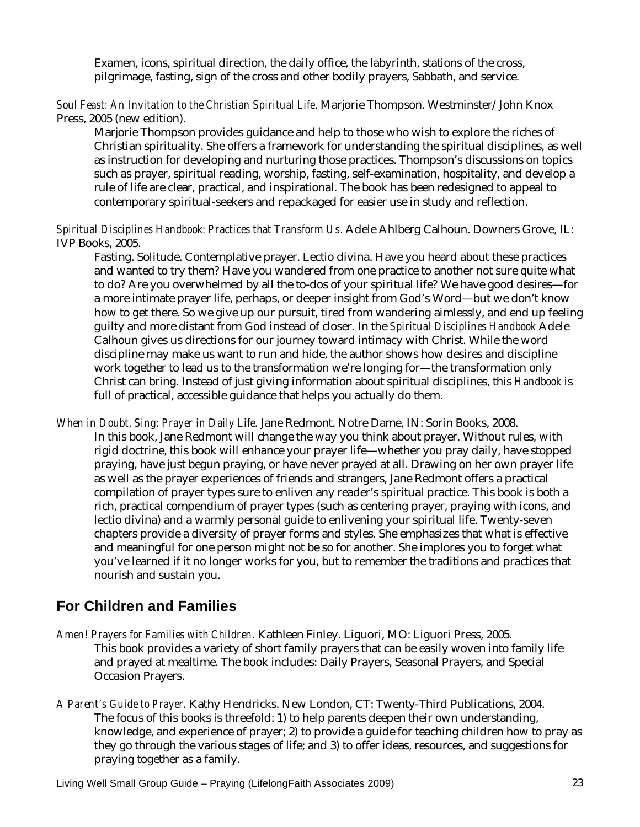Examen, icons, spiritual direction, the daily office, the labyrinth, stations of the cross, pilgrimage, fasting, sign of the cross and other bodily prayers, Sabbath, and service.

#### *Soul Feast: An Invitation to the Christian Spiritual Life*. Marjorie Thompson. Westminster/John Knox Press, 2005 (new edition).

Marjorie Thompson provides guidance and help to those who wish to explore the riches of Christian spirituality. She offers a framework for understanding the spiritual disciplines, as well as instruction for developing and nurturing those practices. Thompson's discussions on topics such as prayer, spiritual reading, worship, fasting, self-examination, hospitality, and develop a rule of life are clear, practical, and inspirational. The book has been redesigned to appeal to contemporary spiritual-seekers and repackaged for easier use in study and reflection.

#### *Spiritual Disciplines Handbook: Practices that Transform Us*. Adele Ahlberg Calhoun. Downers Grove, IL: IVP Books, 2005.

Fasting. Solitude. Contemplative prayer. Lectio divina. Have you heard about these practices and wanted to try them? Have you wandered from one practice to another not sure quite what to do? Are you overwhelmed by all the to-dos of your spiritual life? We have good desires—for a more intimate prayer life, perhaps, or deeper insight from God's Word—but we don't know how to get there. So we give up our pursuit, tired from wandering aimlessly, and end up feeling guilty and more distant from God instead of closer. In the *Spiritual Disciplines Handbook* Adele Calhoun gives us directions for our journey toward intimacy with Christ. While the word discipline may make us want to run and hide, the author shows how desires and discipline work together to lead us to the transformation we're longing for—the transformation only Christ can bring. Instead of just giving information about spiritual disciplines, this *Handbook* is full of practical, accessible guidance that helps you actually do them.

*When in Doubt, Sing: Prayer in Daily Life.* Jane Redmont. Notre Dame, IN: Sorin Books, 2008. In this book, Jane Redmont will change the way you think about prayer. Without rules, with rigid doctrine, this book will enhance your prayer life—whether you pray daily, have stopped praying, have just begun praying, or have never prayed at all. Drawing on her own prayer life as well as the prayer experiences of friends and strangers, Jane Redmont offers a practical compilation of prayer types sure to enliven any reader's spiritual practice. This book is both a rich, practical compendium of prayer types (such as centering prayer, praying with icons, and lectio divina) and a warmly personal guide to enlivening your spiritual life. Twenty-seven chapters provide a diversity of prayer forms and styles. She emphasizes that what is effective and meaningful for one person might not be so for another. She implores you to forget what you've learned if it no longer works for you, but to remember the traditions and practices that nourish and sustain you.

### **For Children and Families**

- *Amen! Prayers for Families with Children.* Kathleen Finley. Liguori, MO: Liguori Press, 2005. This book provides a variety of short family prayers that can be easily woven into family life and prayed at mealtime. The book includes: Daily Prayers, Seasonal Prayers, and Special Occasion Prayers.
- *A Parent's Guide to Prayer.* Kathy Hendricks. New London, CT: Twenty-Third Publications, 2004. The focus of this books is threefold: 1) to help parents deepen their own understanding, knowledge, and experience of prayer; 2) to provide a guide for teaching children how to pray as they go through the various stages of life; and 3) to offer ideas, resources, and suggestions for praying together as a family.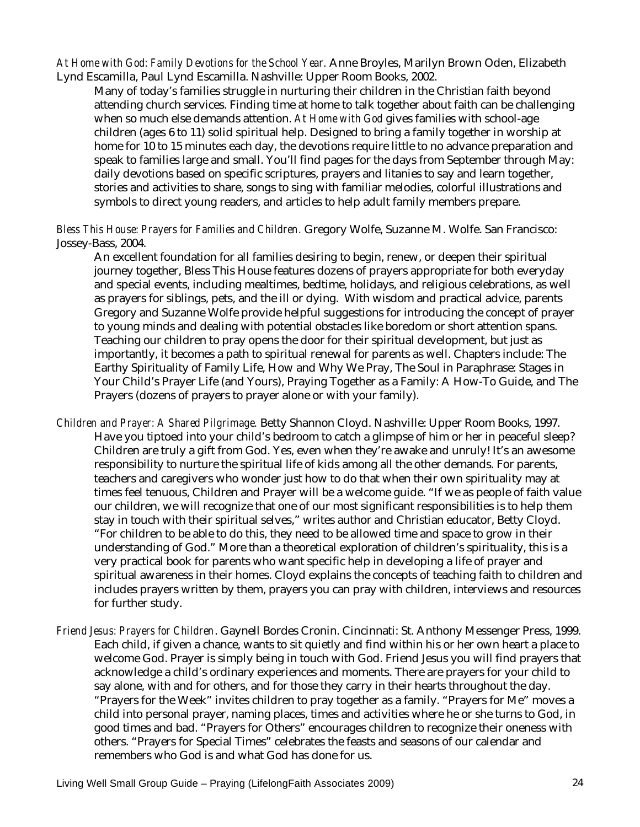*At Home with God: Family Devotions for the School Year.* Anne Broyles, Marilyn Brown Oden, Elizabeth Lynd Escamilla, Paul Lynd Escamilla. Nashville: Upper Room Books, 2002.

Many of today's families struggle in nurturing their children in the Christian faith beyond attending church services. Finding time at home to talk together about faith can be challenging when so much else demands attention. *At Home with God* gives families with school-age children (ages 6 to 11) solid spiritual help. Designed to bring a family together in worship at home for 10 to 15 minutes each day, the devotions require little to no advance preparation and speak to families large and small. You'll find pages for the days from September through May: daily devotions based on specific scriptures, prayers and litanies to say and learn together, stories and activities to share, songs to sing with familiar melodies, colorful illustrations and symbols to direct young readers, and articles to help adult family members prepare.

#### *Bless This House: Prayers for Families and Children.* Gregory Wolfe, Suzanne M. Wolfe. San Francisco: Jossey-Bass, 2004.

An excellent foundation for all families desiring to begin, renew, or deepen their spiritual journey together, Bless This House features dozens of prayers appropriate for both everyday and special events, including mealtimes, bedtime, holidays, and religious celebrations, as well as prayers for siblings, pets, and the ill or dying. With wisdom and practical advice, parents Gregory and Suzanne Wolfe provide helpful suggestions for introducing the concept of prayer to young minds and dealing with potential obstacles like boredom or short attention spans. Teaching our children to pray opens the door for their spiritual development, but just as importantly, it becomes a path to spiritual renewal for parents as well. Chapters include: The Earthy Spirituality of Family Life, How and Why We Pray, The Soul in Paraphrase: Stages in Your Child's Prayer Life (and Yours), Praying Together as a Family: A How-To Guide, and The Prayers (dozens of prayers to prayer alone or with your family).

- *Children and Prayer: A Shared Pilgrimage.* Betty Shannon Cloyd. Nashville: Upper Room Books, 1997. Have you tiptoed into your child's bedroom to catch a glimpse of him or her in peaceful sleep? Children are truly a gift from God. Yes, even when they're awake and unruly! It's an awesome responsibility to nurture the spiritual life of kids among all the other demands. For parents, teachers and caregivers who wonder just how to do that when their own spirituality may at times feel tenuous, Children and Prayer will be a welcome guide. "If we as people of faith value our children, we will recognize that one of our most significant responsibilities is to help them stay in touch with their spiritual selves," writes author and Christian educator, Betty Cloyd. "For children to be able to do this, they need to be allowed time and space to grow in their understanding of God." More than a theoretical exploration of children's spirituality, this is a very practical book for parents who want specific help in developing a life of prayer and spiritual awareness in their homes. Cloyd explains the concepts of teaching faith to children and includes prayers written by them, prayers you can pray with children, interviews and resources for further study.
- *Friend Jesus: Prayers for Children*. Gaynell Bordes Cronin. Cincinnati: St. Anthony Messenger Press, 1999. Each child, if given a chance, wants to sit quietly and find within his or her own heart a place to welcome God. Prayer is simply being in touch with God. Friend Jesus you will find prayers that acknowledge a child's ordinary experiences and moments. There are prayers for your child to say alone, with and for others, and for those they carry in their hearts throughout the day. "Prayers for the Week" invites children to pray together as a family. "Prayers for Me" moves a child into personal prayer, naming places, times and activities where he or she turns to God, in good times and bad. "Prayers for Others" encourages children to recognize their oneness with others. "Prayers for Special Times" celebrates the feasts and seasons of our calendar and remembers who God is and what God has done for us.